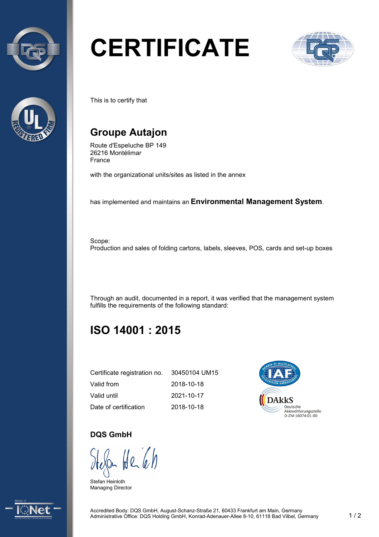



# **CERTIFICATE**



This is to certify that

## **Groupe Autajon**

Route d'Espeluche BP 149 26216 Montélimar France

with the organizational units/sites as listed in the annex

has implemented and maintains an **Environmental Management System**.

Scope: Production and sales of folding cartons, labels, sleeves, POS, cards and set-up boxes

Through an audit, documented in a report, it was verified that the management system fulfills the requirements of the following standard:

## **ISO 14001 : 2015**

| Certificate registration no. | 30450104 UM15 |
|------------------------------|---------------|
| Valid from                   | 2018-10-18    |
| Valid until                  | 2021-10-17    |
| Date of certification        | 2018-10-18    |



#### **DQS GmbH**

 $H_{26}$ 

Stefan Heinloth Managing Director